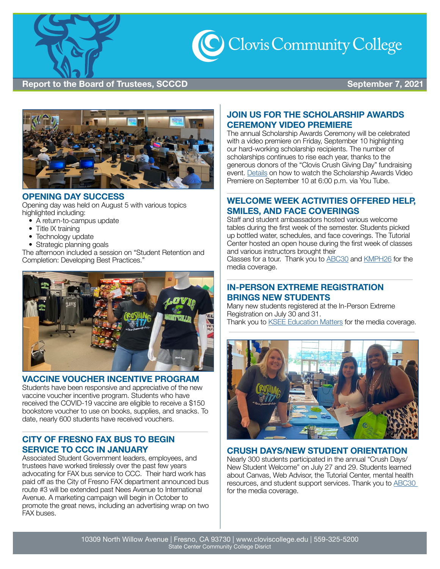



#### **OPENING DAY SUCCESS**

Opening day was held on August 5 with various topics highlighted including:

- A return-to-campus update
- Title IX training
- Technology update
- Strategic planning goals

The afternoon included a session on "Student Retention and Completion: Developing Best Practices."



#### **VACCINE VOUCHER INCENTIVE PROGRAM**

Students have been responsive and appreciative of the new vaccine voucher incentive program. Students who have received the COVID-19 vaccine are eligible to receive a \$150 bookstore voucher to use on books, supplies, and snacks. To date, nearly 600 students have received vouchers.

## **CITY OF FRESNO FAX BUS TO BEGIN SERVICE TO CCC IN JANUARY**

Associated Student Government leaders, employees, and trustees have worked tirelessly over the past few years advocating for FAX bus service to CCC. Their hard work has paid off as the City of Fresno FAX department announced bus route #3 will be extended past Nees Avenue to International Avenue. A marketing campaign will begin in October to promote the great news, including an advertising wrap on two FAX buses.

## **JOIN US FOR THE SCHOLARSHIP AWARDS CEREMONY VIDEO PREMIERE**

The annual Scholarship Awards Ceremony will be celebrated with a video premiere on Friday, September 10 highlighting our hard-working scholarship recipients. The number of scholarships continues to rise each year, thanks to the generous donors of the "Clovis Crush Giving Day" fundraising event. [Details](https://www.cloviscollege.edu/events/scholarship-awards-video-premiere.html?date=1631322000000-1631325600000) on how to watch the Scholarship Awards Video Premiere on September 10 at 6:00 p.m. via You Tube.

## **WELCOME WEEK ACTIVITIES OFFERED HELP, SMILES, AND FACE COVERINGS**

Staff and student ambassadors hosted various welcome tables during the first week of the semester. Students picked up bottled water, schedules, and face coverings. The Tutorial Center hosted an open house during the first week of classes and various instructors brought their

Classes for a tour. Thank you to [ABC30](https://app.criticalmention.com/app/#clip/view/7642dbc7-42dd-4d3c-a923-8441317c2436?token=06e78700-fd75-40f8-bbee-c9576c71b869) and [KMPH26](https://app.criticalmention.com/app/#clip/view/2085bb3d-7de5-4991-b9ff-2684c60fbe16?token=06e78700-fd75-40f8-bbee-c9576c71b869) for the media coverage.

#### **IN-PERSON EXTREME REGISTRATION BRINGS NEW STUDENTS**

Many new students registered at the In-Person Extreme Registration on July 30 and 31. Thank you to [KSEE Education Matters](https://www.yourcentralvalley.com/news/education/education-matters-students-at-fresno-area-community-colleges-returning-to-in-person-learning/) for the media coverage.



#### **CRUSH DAYS/NEW STUDENT ORIENTATION**

Nearly 300 students participated in the annual "Crush Days/ New Student Welcome" on July 27 and 29. Students learned about Canvas, Web Advisor, the Tutorial Center, mental health resources, and student support services. Thank you to [ABC30](https://abc30.com/clovis-community-college/10912990/)  for the media coverage.